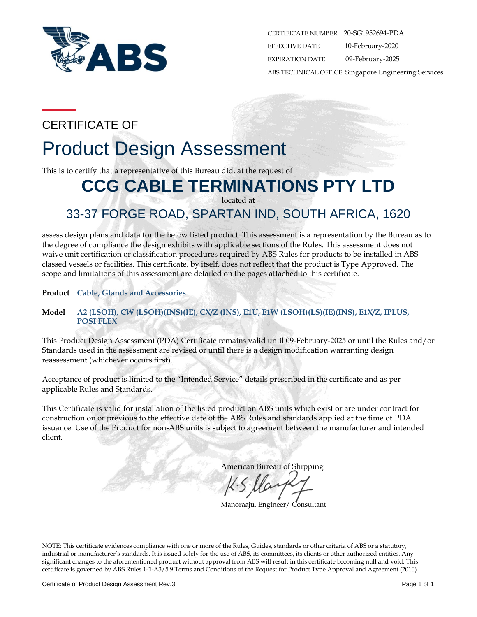

CERTIFICATE NUMBER 20-SG1952694-PDA EFFECTIVE DATE 10-February-2020 EXPIRATION DATE 09-February-2025 ABS TECHNICAL OFFICE Singapore Engineering Services

# CERTIFICATE OF

# Product Design Assessment

This is to certify that a representative of this Bureau did, at the request of

# **CCG CABLE TERMINATIONS PTY LTD**

located at

# 33-37 FORGE ROAD, SPARTAN IND, SOUTH AFRICA, 1620

assess design plans and data for the below listed product. This assessment is a representation by the Bureau as to the degree of compliance the design exhibits with applicable sections of the Rules. This assessment does not waive unit certification or classification procedures required by ABS Rules for products to be installed in ABS classed vessels or facilities. This certificate, by itself, does not reflect that the product is Type Approved. The scope and limitations of this assessment are detailed on the pages attached to this certificate.

**Product Cable, Glands and Accessories**

### **Model A2 (LSOH), CW (LSOH)(INS)(IE), CX/Z (INS), E1U, E1W (LSOH)(LS)(IE)(INS), E1X/Z, IPLUS, POSI FLEX**

This Product Design Assessment (PDA) Certificate remains valid until 09-February-2025 or until the Rules and/or Standards used in the assessment are revised or until there is a design modification warranting design reassessment (whichever occurs first).

Acceptance of product is limited to the "Intended Service" details prescribed in the certificate and as per applicable Rules and Standards.

This Certificate is valid for installation of the listed product on ABS units which exist or are under contract for construction on or previous to the effective date of the ABS Rules and standards applied at the time of PDA issuance. Use of the Product for non-ABS units is subject to agreement between the manufacturer and intended client.

American Bureau of Shipping

 $\overline{1}$  ,  $\overline{1}$  ,  $\overline{1}$  ,  $\overline{1}$ 

Manoraaju, Engineer/ Consultant

NOTE: This certificate evidences compliance with one or more of the Rules, Guides, standards or other criteria of ABS or a statutory, industrial or manufacturer's standards. It is issued solely for the use of ABS, its committees, its clients or other authorized entities. Any significant changes to the aforementioned product without approval from ABS will result in this certificate becoming null and void. This certificate is governed by ABS Rules 1-1-A3/5.9 Terms and Conditions of the Request for Product Type Approval and Agreement (2010)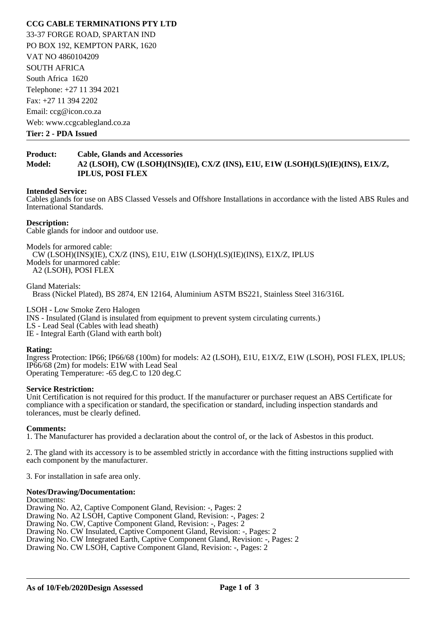## **CCG CABLE TERMINATIONS PTY LTD**

33-37 FORGE ROAD, SPARTAN IND PO BOX 192, KEMPTON PARK, 1620 VAT NO 4860104209 SOUTH AFRICA South Africa 1620 Telephone: +27 11 394 2021 Fax: +27 11 394 2202 Email: ccg@icon.co.za Web: www.ccgcablegland.co.za

**Tier: 2 - PDA Issued** 

## **Product: Cable, Glands and Accessories Model: A2 (LSOH), CW (LSOH)(INS)(IE), CX/Z (INS), E1U, E1W (LSOH)(LS)(IE)(INS), E1X/Z, IPLUS, POSI FLEX**

#### **Intended Service:**

Cables glands for use on ABS Classed Vessels and Offshore Installations in accordance with the listed ABS Rules and International Standards.

#### **Description:**

Cable glands for indoor and outdoor use.

Models for armored cable: CW (LSOH)(INS)(IE), CX/Z (INS), E1U, E1W (LSOH)(LS)(IE)(INS), E1X/Z, IPLUS Models for unarmored cable: A2 (LSOH), POSI FLEX

Gland Materials: Brass (Nickel Plated), BS 2874, EN 12164, Aluminium ASTM BS221, Stainless Steel 316/316L

LSOH - Low Smoke Zero Halogen INS - Insulated (Gland is insulated from equipment to prevent system circulating currents.) LS - Lead Seal (Cables with lead sheath) IE - Integral Earth (Gland with earth bolt)

#### **Rating:**

Ingress Protection: IP66; IP66/68 (100m) for models: A2 (LSOH), E1U, E1X/Z, E1W (LSOH), POSI FLEX, IPLUS; IP66/68 (2m) for models: E1W with Lead Seal Operating Temperature: -65 deg.C to 120 deg.C

#### **Service Restriction:**

Unit Certification is not required for this product. If the manufacturer or purchaser request an ABS Certificate for compliance with a specification or standard, the specification or standard, including inspection standards and tolerances, must be clearly defined.

#### **Comments:**

1. The Manufacturer has provided a declaration about the control of, or the lack of Asbestos in this product.

2. The gland with its accessory is to be assembled strictly in accordance with the fitting instructions supplied with each component by the manufacturer.

3. For installation in safe area only.

#### **Notes/Drawing/Documentation:**

Documents: Drawing No. A2, Captive Component Gland, Revision: -, Pages: 2 Drawing No. A2 LSOH, Captive Component Gland, Revision: -, Pages: 2 Drawing No. CW, Captive Component Gland, Revision: -, Pages: 2 Drawing No. CW Insulated, Captive Component Gland, Revision: -, Pages: 2 Drawing No. CW Integrated Earth, Captive Component Gland, Revision: -, Pages: 2 Drawing No. CW LSOH, Captive Component Gland, Revision: -, Pages: 2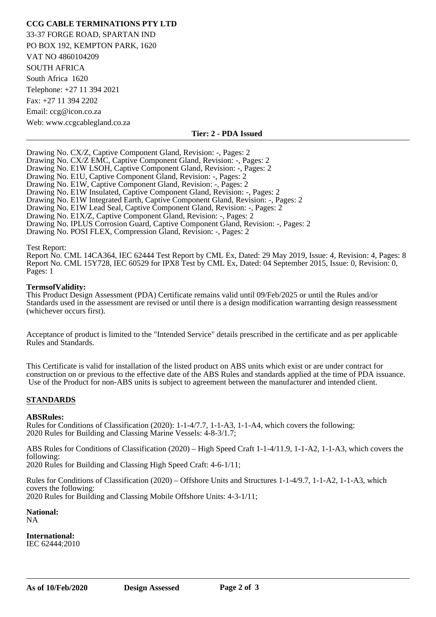# **CCG CABLE TERMINATIONS PTY LTD**

33-37 FORGE ROAD, SPARTAN IND PO BOX 192, KEMPTON PARK, 1620 VAT NO 4860104209 SOUTH AFRICA South Africa 1620 Telephone: +27 11 394 2021 Fax: +27 11 394 2202 Email: ccg@icon.co.za Web: www.ccgcablegland.co.za

#### **Tier: 2 - PDA Issued**

Drawing No. CX/Z, Captive Component Gland, Revision: -, Pages: 2 Drawing No. CX/Z EMC, Captive Component Gland, Revision: -, Pages: 2 Drawing No. E1W LSOH, Captive Component Gland, Revision: -, Pages: 2 Drawing No. E1U, Captive Component Gland, Revision: -, Pages: 2 Drawing No. E1W, Captive Component Gland, Revision: -, Pages: 2 Drawing No. E1W Insulated, Captive Component Gland, Revision: -, Pages: 2 Drawing No. E1W Integrated Earth, Captive Component Gland, Revision: -, Pages: 2 Drawing No. E1W Lead Seal, Captive Component Gland, Revision: -, Pages: 2 Drawing No. E1X/Z, Captive Component Gland, Revision: -, Pages: 2 Drawing No. IPLUS Corrosion Guard, Captive Component Gland, Revision: -, Pages: 2 Drawing No. POSI FLEX, Compression Gland, Revision: -, Pages: 2

#### Test Report:

Report No. CML 14CA364, IEC 62444 Test Report by CML Ex, Dated: 29 May 2019, Issue: 4, Revision: 4, Pages: 8 Report No. CML 15Y728, IEC 60529 for IPX8 Test by CML Ex, Dated: 04 September 2015, Issue: 0, Revision: 0, Pages: 1

#### **Terms of Validity:**

This Product Design Assessment (PDA) Certificate remains valid until 09/Feb/2025 or until the Rules and/or Standards used in the assessment are revised or until there is a design modification warranting design reassessment (whichever occurs first).

Acceptance of product is limited to the "Intended Service" details prescribed in the certificate and as per applicable Rules and Standards.

This Certificate is valid for installation of the listed product on ABS units which exist or are under contract for construction on or previous to the effective date of the ABS Rules and standards applied at the time of PDA issuance. Use of the Product for non-ABS units is subject to agreement between the manufacturer and intended client.

#### **STANDARDS**

#### **ABS** Rules:

Rules for Conditions of Classification (2020): 1-1-4/7.7, 1-1-A3, 1-1-A4, which covers the following: 2020 Rules for Building and Classing Marine Vessels: 4-8-3/1.7;

ABS Rules for Conditions of Classification (2020) – High Speed Craft 1-1-4/11.9, 1-1-A2, 1-1-A3, which covers the following:

2020 Rules for Building and Classing High Speed Craft: 4-6-1/11;

Rules for Conditions of Classification (2020) – Offshore Units and Structures 1-1-4/9.7, 1-1-A2, 1-1-A3, which covers the following: 2020 Rules for Building and Classing Mobile Offshore Units: 4-3-1/11;

National:

NA

**International:**  IEC 62444:2010